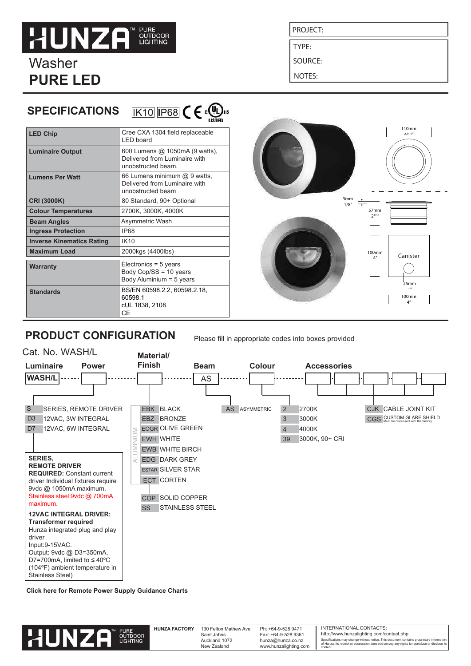# **HUNZA PUNE<br>OUTDOOR**<br>LIGHTING

Washer **PURE LED** 

**SPECIFICATIONS**

## PROJECT:

TYPE:

SOURCE:

NOTES:

|                                  | the contract of the contract of the<br><b>LISTED</b>                                  |
|----------------------------------|---------------------------------------------------------------------------------------|
| <b>LED Chip</b>                  | Cree CXA 1304 field replaceable<br>I FD board                                         |
| <b>Luminaire Output</b>          | 600 Lumens @ 1050mA (9 watts),<br>Delivered from Luminaire with<br>unobstructed beam. |
| <b>Lumens Per Watt</b>           | 66 Lumens minimum @ 9 watts.<br>Delivered from Luminaire with<br>unobstructed beam    |
| CRI (3000K)                      | 80 Standard, 90+ Optional                                                             |
| <b>Colour Temperatures</b>       | 2700K, 3000K, 4000K                                                                   |
| <b>Beam Angles</b>               | Asymmetric Wash                                                                       |
| <b>Ingress Protection</b>        | <b>IP68</b>                                                                           |
| <b>Inverse Kinematics Rating</b> | IK10                                                                                  |
| <b>Maximum Load</b>              | 2000kgs (4400lbs)                                                                     |
| <b>Warranty</b>                  | Electronics = $5$ years<br>Body Cop/SS = 10 years<br>Body Aluminium = 5 years         |
| <b>Standards</b>                 | BS/EN 60598.2.2, 60598.2.18,<br>60598.1<br>cUL 1838, 2108<br>СE                       |

 $\overline{K}$ 10  $\overline{IP}$ 68  $\overline{C}$   $\in$   $\Omega$ <sub>us</sub>



## **PRODUCT CONFIGURATION**

Please fill in appropriate codes into boxes provided



**[Click here for Remote Power Supply Guidance Charts](http://hunzalighting.com/resources/led-power-supplies/pure-led-series-wiring)**



content.

Ph: +64-9-528 9471 Fax: +64-9-528 9361 hunza@hunza.co.nz www.hunzalighting.com